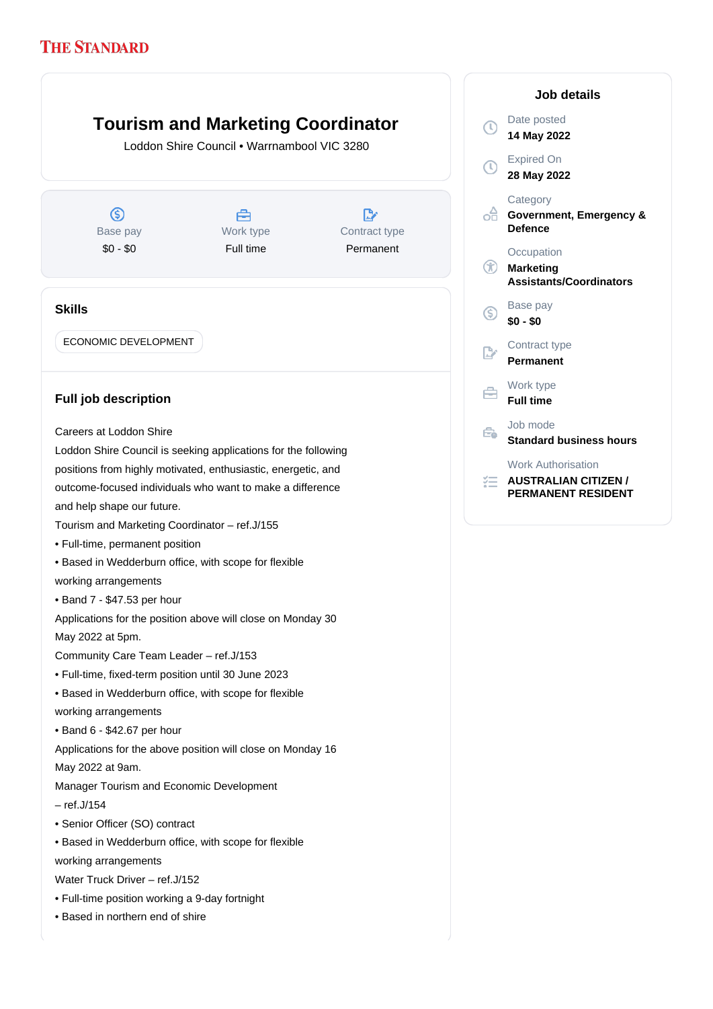## **Tourism and Marketing Coordinator**

Loddon Shire Council • Warrnambool VIC 3280

 $\circledS$ Base pay \$0 - \$0

Å Work type Full time

D Contract type Permanent

## **Skills**

ECONOMIC DEVELOPMENT

## **Full job description**

Careers at Loddon Shire

Loddon Shire Council is seeking applications for the following positions from highly motivated, enthusiastic, energetic, and outcome-focused individuals who want to make a difference and help shape our future.

- Tourism and Marketing Coordinator ref.J/155
- Full-time, permanent position
- Based in Wedderburn office, with scope for flexible working arrangements
- Band 7 \$47.53 per hour

Applications for the position above will close on Monday 30 May 2022 at 5pm.

Community Care Team Leader – ref.J/153

- Full-time, fixed-term position until 30 June 2023
- Based in Wedderburn office, with scope for flexible
- working arrangements
- Band 6 \$42.67 per hour

Applications for the above position will close on Monday 16

May 2022 at 9am.

Manager Tourism and Economic Development

– ref.J/154

- Senior Officer (SO) contract
- Based in Wedderburn office, with scope for flexible

working arrangements

Water Truck Driver – ref.J/152

- Full-time position working a 9-day fortnight
- Based in northern end of shire

|                   | <b>Job details</b>                                                                    |
|-------------------|---------------------------------------------------------------------------------------|
| T)                | Date posted<br>14 May 2022                                                            |
| $\left( 0\right)$ | <b>Expired On</b><br>28 May 2022                                                      |
| €                 | Category<br>Government, Emergency &<br><b>Defence</b>                                 |
| $^{\rm (t)}$      | Occupation<br><b>Marketing</b><br><b>Assistants/Coordinators</b>                      |
| S)                | Base pay<br>\$0 - \$0                                                                 |
|                   | Contract type<br>Permanent                                                            |
| A                 | Work type<br><b>Full time</b>                                                         |
| €                 | Job mode<br><b>Standard business hours</b>                                            |
|                   | <b>Work Authorisation</b><br><b>AUSTRALIAN CITIZEN /</b><br><b>PERMANENT RESIDENT</b> |